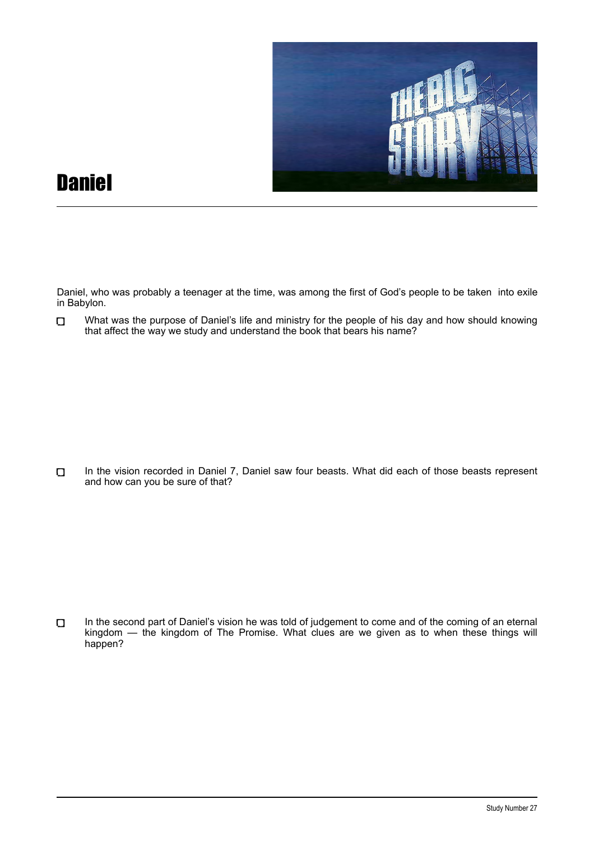

## **Daniel**

Daniel, who was probably a teenager at the time, was among the first of God's people to be taken into exile in Babylon.

What was the purpose of Daniel's life and ministry for the people of his day and how should knowing  $\Box$ that affect the way we study and understand the book that bears his name?

In the vision recorded in Daniel 7, Daniel saw four beasts. What did each of those beasts represent  $\Box$ and how can you be sure of that?

In the second part of Daniel's vision he was told of judgement to come and of the coming of an eternal  $\Box$ kingdom — the kingdom of The Promise. What clues are we given as to when these things will happen?